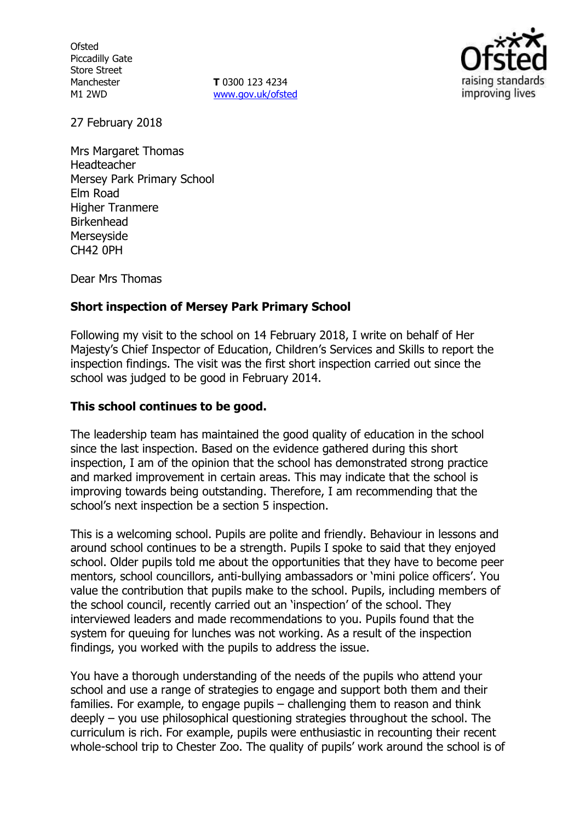**Ofsted** Piccadilly Gate Store Street Manchester M1 2WD

**T** 0300 123 4234 www.gov.uk/ofsted



27 February 2018

Mrs Margaret Thomas Headteacher Mersey Park Primary School Elm Road Higher Tranmere Birkenhead Merseyside CH42 0PH

Dear Mrs Thomas

### **Short inspection of Mersey Park Primary School**

Following my visit to the school on 14 February 2018, I write on behalf of Her Majesty's Chief Inspector of Education, Children's Services and Skills to report the inspection findings. The visit was the first short inspection carried out since the school was judged to be good in February 2014.

#### **This school continues to be good.**

The leadership team has maintained the good quality of education in the school since the last inspection. Based on the evidence gathered during this short inspection, I am of the opinion that the school has demonstrated strong practice and marked improvement in certain areas. This may indicate that the school is improving towards being outstanding. Therefore, I am recommending that the school's next inspection be a section 5 inspection.

This is a welcoming school. Pupils are polite and friendly. Behaviour in lessons and around school continues to be a strength. Pupils I spoke to said that they enjoyed school. Older pupils told me about the opportunities that they have to become peer mentors, school councillors, anti-bullying ambassadors or 'mini police officers'. You value the contribution that pupils make to the school. Pupils, including members of the school council, recently carried out an 'inspection' of the school. They interviewed leaders and made recommendations to you. Pupils found that the system for queuing for lunches was not working. As a result of the inspection findings, you worked with the pupils to address the issue.

You have a thorough understanding of the needs of the pupils who attend your school and use a range of strategies to engage and support both them and their families. For example, to engage pupils – challenging them to reason and think deeply – you use philosophical questioning strategies throughout the school. The curriculum is rich. For example, pupils were enthusiastic in recounting their recent whole-school trip to Chester Zoo. The quality of pupils' work around the school is of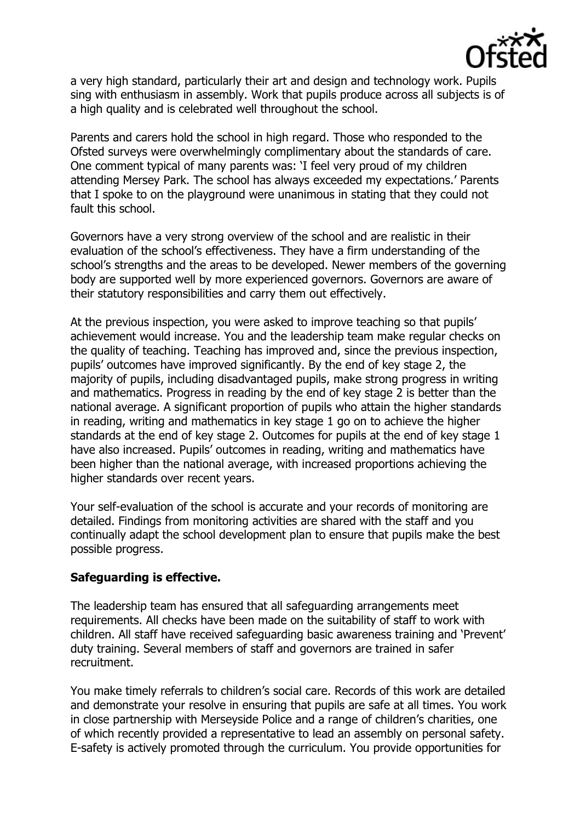

a very high standard, particularly their art and design and technology work. Pupils sing with enthusiasm in assembly. Work that pupils produce across all subjects is of a high quality and is celebrated well throughout the school.

Parents and carers hold the school in high regard. Those who responded to the Ofsted surveys were overwhelmingly complimentary about the standards of care. One comment typical of many parents was: 'I feel very proud of my children attending Mersey Park. The school has always exceeded my expectations.' Parents that I spoke to on the playground were unanimous in stating that they could not fault this school.

Governors have a very strong overview of the school and are realistic in their evaluation of the school's effectiveness. They have a firm understanding of the school's strengths and the areas to be developed. Newer members of the governing body are supported well by more experienced governors. Governors are aware of their statutory responsibilities and carry them out effectively.

At the previous inspection, you were asked to improve teaching so that pupils' achievement would increase. You and the leadership team make regular checks on the quality of teaching. Teaching has improved and, since the previous inspection, pupils' outcomes have improved significantly. By the end of key stage 2, the majority of pupils, including disadvantaged pupils, make strong progress in writing and mathematics. Progress in reading by the end of key stage 2 is better than the national average. A significant proportion of pupils who attain the higher standards in reading, writing and mathematics in key stage 1 go on to achieve the higher standards at the end of key stage 2. Outcomes for pupils at the end of key stage 1 have also increased. Pupils' outcomes in reading, writing and mathematics have been higher than the national average, with increased proportions achieving the higher standards over recent years.

Your self-evaluation of the school is accurate and your records of monitoring are detailed. Findings from monitoring activities are shared with the staff and you continually adapt the school development plan to ensure that pupils make the best possible progress.

### **Safeguarding is effective.**

The leadership team has ensured that all safeguarding arrangements meet requirements. All checks have been made on the suitability of staff to work with children. All staff have received safeguarding basic awareness training and 'Prevent' duty training. Several members of staff and governors are trained in safer recruitment.

You make timely referrals to children's social care. Records of this work are detailed and demonstrate your resolve in ensuring that pupils are safe at all times. You work in close partnership with Merseyside Police and a range of children's charities, one of which recently provided a representative to lead an assembly on personal safety. E-safety is actively promoted through the curriculum. You provide opportunities for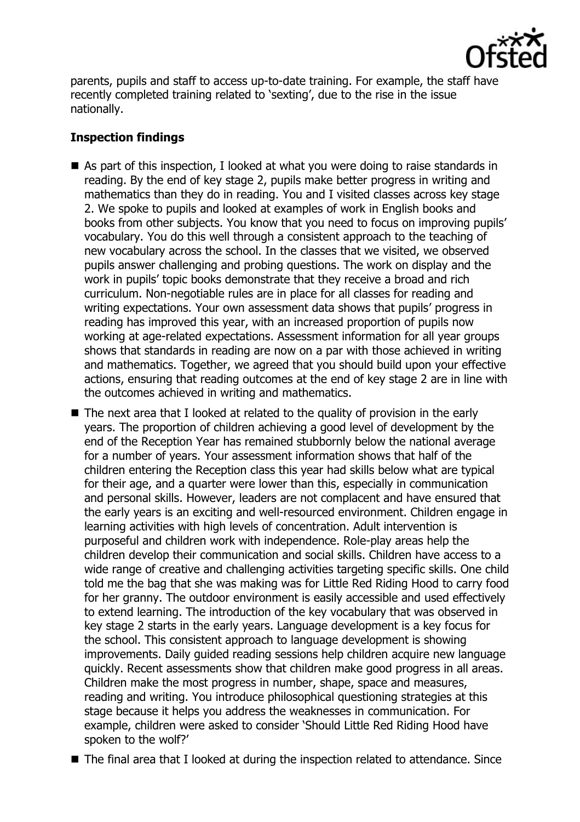

parents, pupils and staff to access up-to-date training. For example, the staff have recently completed training related to 'sexting', due to the rise in the issue nationally.

# **Inspection findings**

- As part of this inspection, I looked at what you were doing to raise standards in reading. By the end of key stage 2, pupils make better progress in writing and mathematics than they do in reading. You and I visited classes across key stage 2. We spoke to pupils and looked at examples of work in English books and books from other subjects. You know that you need to focus on improving pupils' vocabulary. You do this well through a consistent approach to the teaching of new vocabulary across the school. In the classes that we visited, we observed pupils answer challenging and probing questions. The work on display and the work in pupils' topic books demonstrate that they receive a broad and rich curriculum. Non-negotiable rules are in place for all classes for reading and writing expectations. Your own assessment data shows that pupils' progress in reading has improved this year, with an increased proportion of pupils now working at age-related expectations. Assessment information for all year groups shows that standards in reading are now on a par with those achieved in writing and mathematics. Together, we agreed that you should build upon your effective actions, ensuring that reading outcomes at the end of key stage 2 are in line with the outcomes achieved in writing and mathematics.
- The next area that I looked at related to the quality of provision in the early years. The proportion of children achieving a good level of development by the end of the Reception Year has remained stubbornly below the national average for a number of years. Your assessment information shows that half of the children entering the Reception class this year had skills below what are typical for their age, and a quarter were lower than this, especially in communication and personal skills. However, leaders are not complacent and have ensured that the early years is an exciting and well-resourced environment. Children engage in learning activities with high levels of concentration. Adult intervention is purposeful and children work with independence. Role-play areas help the children develop their communication and social skills. Children have access to a wide range of creative and challenging activities targeting specific skills. One child told me the bag that she was making was for Little Red Riding Hood to carry food for her granny. The outdoor environment is easily accessible and used effectively to extend learning. The introduction of the key vocabulary that was observed in key stage 2 starts in the early years. Language development is a key focus for the school. This consistent approach to language development is showing improvements. Daily guided reading sessions help children acquire new language quickly. Recent assessments show that children make good progress in all areas. Children make the most progress in number, shape, space and measures, reading and writing. You introduce philosophical questioning strategies at this stage because it helps you address the weaknesses in communication. For example, children were asked to consider 'Should Little Red Riding Hood have spoken to the wolf?'
- The final area that I looked at during the inspection related to attendance. Since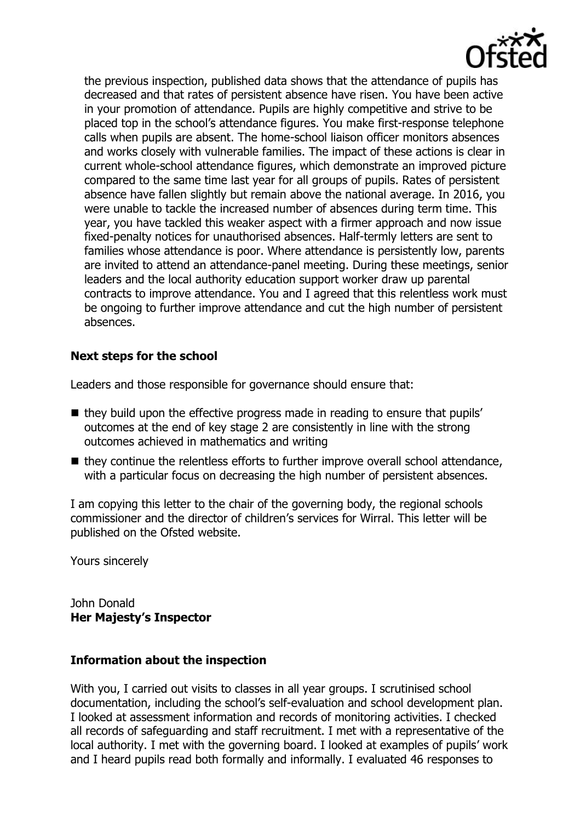

the previous inspection, published data shows that the attendance of pupils has decreased and that rates of persistent absence have risen. You have been active in your promotion of attendance. Pupils are highly competitive and strive to be placed top in the school's attendance figures. You make first-response telephone calls when pupils are absent. The home-school liaison officer monitors absences and works closely with vulnerable families. The impact of these actions is clear in current whole-school attendance figures, which demonstrate an improved picture compared to the same time last year for all groups of pupils. Rates of persistent absence have fallen slightly but remain above the national average. In 2016, you were unable to tackle the increased number of absences during term time. This year, you have tackled this weaker aspect with a firmer approach and now issue fixed-penalty notices for unauthorised absences. Half-termly letters are sent to families whose attendance is poor. Where attendance is persistently low, parents are invited to attend an attendance-panel meeting. During these meetings, senior leaders and the local authority education support worker draw up parental contracts to improve attendance. You and I agreed that this relentless work must be ongoing to further improve attendance and cut the high number of persistent absences.

## **Next steps for the school**

Leaders and those responsible for governance should ensure that:

- they build upon the effective progress made in reading to ensure that pupils' outcomes at the end of key stage 2 are consistently in line with the strong outcomes achieved in mathematics and writing
- $\blacksquare$  they continue the relentless efforts to further improve overall school attendance, with a particular focus on decreasing the high number of persistent absences.

I am copying this letter to the chair of the governing body, the regional schools commissioner and the director of children's services for Wirral. This letter will be published on the Ofsted website.

Yours sincerely

John Donald **Her Majesty's Inspector**

### **Information about the inspection**

With you, I carried out visits to classes in all year groups. I scrutinised school documentation, including the school's self-evaluation and school development plan. I looked at assessment information and records of monitoring activities. I checked all records of safeguarding and staff recruitment. I met with a representative of the local authority. I met with the governing board. I looked at examples of pupils' work and I heard pupils read both formally and informally. I evaluated 46 responses to